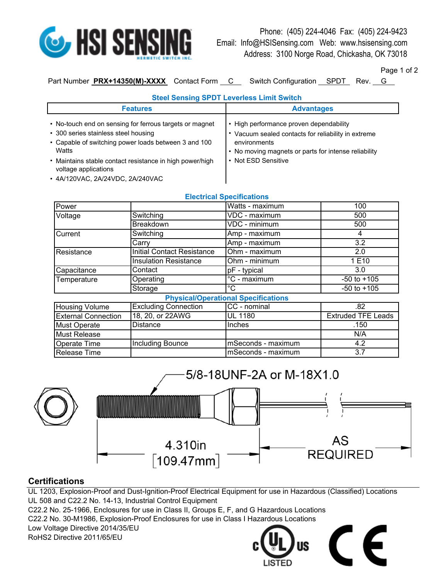

Phone: (405) 224-4046 Fax: (405) 224-9423 Email: Info@HSISensing.com Web: www.hsisensing.com Address: 3100 Norge Road, Chickasha, OK 73018

Page 1 of 2

Part Number **PRX+14350(M)-XXXX** Contact Form C Switch Configuration SPDT Rev. G

| raye ı vı . |  |  |
|-------------|--|--|
|             |  |  |

| <b>Steel Sensing SPDT Leverless Limit Switch</b>                                                                                                                 |                                                                                                                                                                        |  |  |
|------------------------------------------------------------------------------------------------------------------------------------------------------------------|------------------------------------------------------------------------------------------------------------------------------------------------------------------------|--|--|
| <b>Features</b>                                                                                                                                                  | <b>Advantages</b>                                                                                                                                                      |  |  |
| • No-touch end on sensing for ferrous targets or magnet<br>• 300 series stainless steel housing<br>• Capable of switching power loads between 3 and 100<br>Watts | • High performance proven dependability<br>* Vacuum sealed contacts for reliability in extreme<br>environments<br>• No moving magnets or parts for intense reliability |  |  |
| • Maintains stable contact resistance in high power/high                                                                                                         | • Not ESD Sensitive                                                                                                                                                    |  |  |

- Maintains stable contact resistance in high power/high | voltage applications
- 4A/120VAC, 2A/24VDC, 2A/240VAC

| <b>Electrical Specifications</b> |
|----------------------------------|

| Power                                      |                                   | Watts - maximum    | 100                       |
|--------------------------------------------|-----------------------------------|--------------------|---------------------------|
| Voltage                                    | Switching                         | VDC - maximum      | 500                       |
|                                            | Breakdown                         | VDC - minimum      | 500                       |
| Current                                    | Switching                         | Amp - maximum      | 4                         |
|                                            | Carry                             | Amp - maximum      | 3.2                       |
| Resistance                                 | <b>Initial Contact Resistance</b> | Ohm - maximum      | 2.0                       |
|                                            | <b>Insulation Resistance</b>      | Ohm - minimum      | 1 E10                     |
| Capacitance                                | Contact                           | pF - typical       | 3.0                       |
| Temperature                                | Operating                         | °C - maximum       | $-50$ to $+105$           |
|                                            | Storage                           | °C                 | $-50$ to $+105$           |
| <b>Physical/Operational Specifications</b> |                                   |                    |                           |
| <b>Housing Volume</b>                      | <b>Excluding Connection</b>       | CC - nominal       | .82                       |
| <b>External Connection</b>                 | 18, 20, or 22AWG                  | <b>UL 1180</b>     | <b>Extruded TFE Leads</b> |
| <b>Must Operate</b>                        | <b>Distance</b>                   | Inches             | .150                      |
| <b>Must Release</b>                        |                                   |                    | N/A                       |
| Operate Time                               | <b>Including Bounce</b>           | mSeconds - maximum | 4.2                       |
| Release Time                               |                                   | mSeconds - maximum | 3.7                       |



## **Certifications**

UL 1203, Explosion-Proof and Dust-Ignition-Proof Electrical Equipment for use in Hazardous (Classified) Locations UL 508 and C22.2 No. 14-13, Industrial Control Equipment

C22.2 No. 25-1966, Enclosures for use in Class II, Groups E, F, and G Hazardous Locations

C22.2 No. 30-M1986, Explosion-Proof Enclosures for use in Class I Hazardous Locations

Low Voltage Directive 2014/35/EU

RoHS2 Directive 2011/65/EU



 $\boldsymbol{\epsilon}$